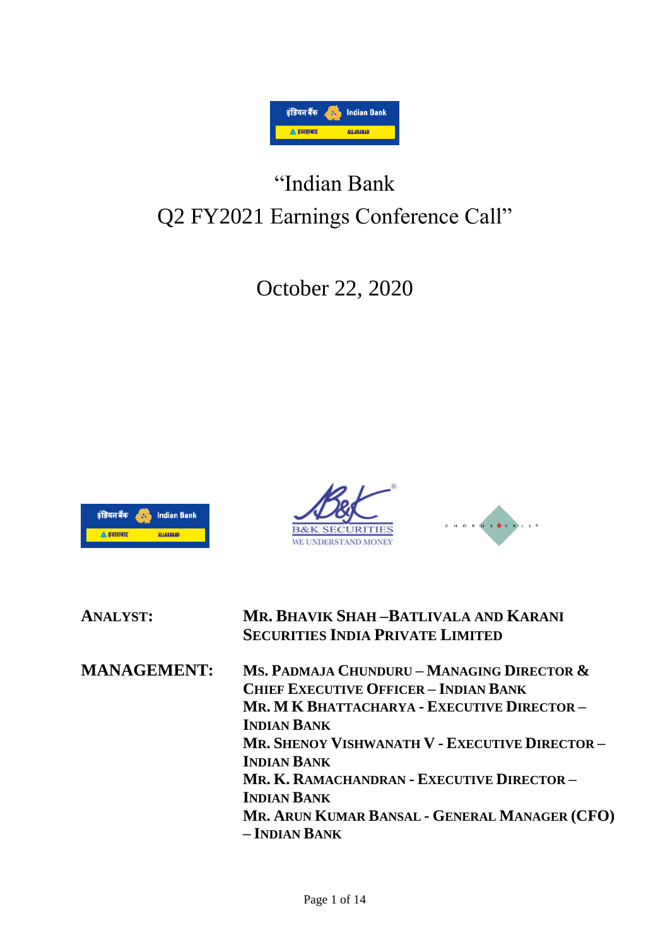

## "Indian Bank Q2 FY2021 Earnings Conference Call"

October 22, 2020







**ANALYST: MR. BHAVIK SHAH –BATLIVALA AND KARANI SECURITIES INDIA PRIVATE LIMITED MANAGEMENT: MS. PADMAJA CHUNDURU – MANAGING DIRECTOR & CHIEF EXECUTIVE OFFICER – INDIAN BANK MR. M K BHATTACHARYA - EXECUTIVE DIRECTOR – INDIAN BANK**

**MR. SHENOY VISHWANATH V - EXECUTIVE DIRECTOR – INDIAN BANK MR. K. RAMACHANDRAN - EXECUTIVE DIRECTOR –**

**INDIAN BANK MR. ARUN KUMAR BANSAL - GENERAL MANAGER (CFO) – INDIAN BANK**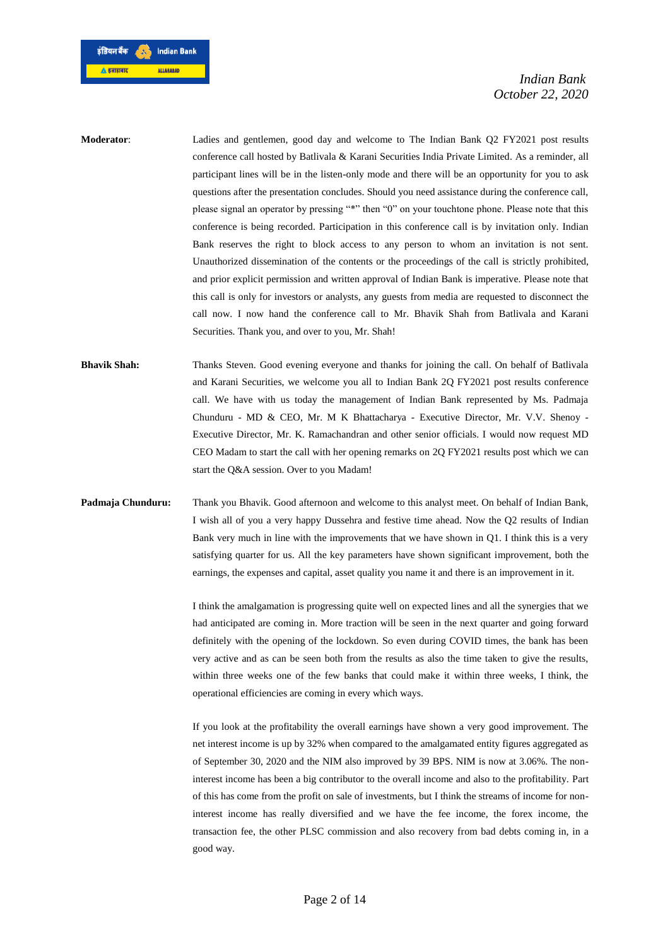

| <b>Moderator:</b> | Ladies and gentlemen, good day and welcome to The Indian Bank Q2 FY2021 post results               |
|-------------------|----------------------------------------------------------------------------------------------------|
|                   | conference call hosted by Batlivala & Karani Securities India Private Limited. As a reminder, all  |
|                   | participant lines will be in the listen-only mode and there will be an opportunity for you to ask  |
|                   | questions after the presentation concludes. Should you need assistance during the conference call, |
|                   | please signal an operator by pressing "*" then "0" on your touchtone phone. Please note that this  |
|                   | conference is being recorded. Participation in this conference call is by invitation only. Indian  |
|                   | Bank reserves the right to block access to any person to whom an invitation is not sent.           |
|                   | Unauthorized dissemination of the contents or the proceedings of the call is strictly prohibited,  |
|                   | and prior explicit permission and written approval of Indian Bank is imperative. Please note that  |
|                   | this call is only for investors or analysts, any guests from media are requested to disconnect the |
|                   | call now. I now hand the conference call to Mr. Bhavik Shah from Batlivala and Karani              |
|                   | Securities. Thank you, and over to you, Mr. Shah!                                                  |
|                   |                                                                                                    |

- **Bhavik Shah:** Thanks Steven. Good evening everyone and thanks for joining the call. On behalf of Batlivala and Karani Securities, we welcome you all to Indian Bank 2Q FY2021 post results conference call. We have with us today the management of Indian Bank represented by Ms. Padmaja Chunduru - MD & CEO, Mr. M K Bhattacharya - Executive Director, Mr. V.V. Shenoy - Executive Director, Mr. K. Ramachandran and other senior officials. I would now request MD CEO Madam to start the call with her opening remarks on 2Q FY2021 results post which we can start the Q&A session. Over to you Madam!
- **Padmaja Chunduru:** Thank you Bhavik. Good afternoon and welcome to this analyst meet. On behalf of Indian Bank, I wish all of you a very happy Dussehra and festive time ahead. Now the Q2 results of Indian Bank very much in line with the improvements that we have shown in Q1. I think this is a very satisfying quarter for us. All the key parameters have shown significant improvement, both the earnings, the expenses and capital, asset quality you name it and there is an improvement in it.

I think the amalgamation is progressing quite well on expected lines and all the synergies that we had anticipated are coming in. More traction will be seen in the next quarter and going forward definitely with the opening of the lockdown. So even during COVID times, the bank has been very active and as can be seen both from the results as also the time taken to give the results, within three weeks one of the few banks that could make it within three weeks, I think, the operational efficiencies are coming in every which ways.

If you look at the profitability the overall earnings have shown a very good improvement. The net interest income is up by 32% when compared to the amalgamated entity figures aggregated as of September 30, 2020 and the NIM also improved by 39 BPS. NIM is now at 3.06%. The noninterest income has been a big contributor to the overall income and also to the profitability. Part of this has come from the profit on sale of investments, but I think the streams of income for noninterest income has really diversified and we have the fee income, the forex income, the transaction fee, the other PLSC commission and also recovery from bad debts coming in, in a good way.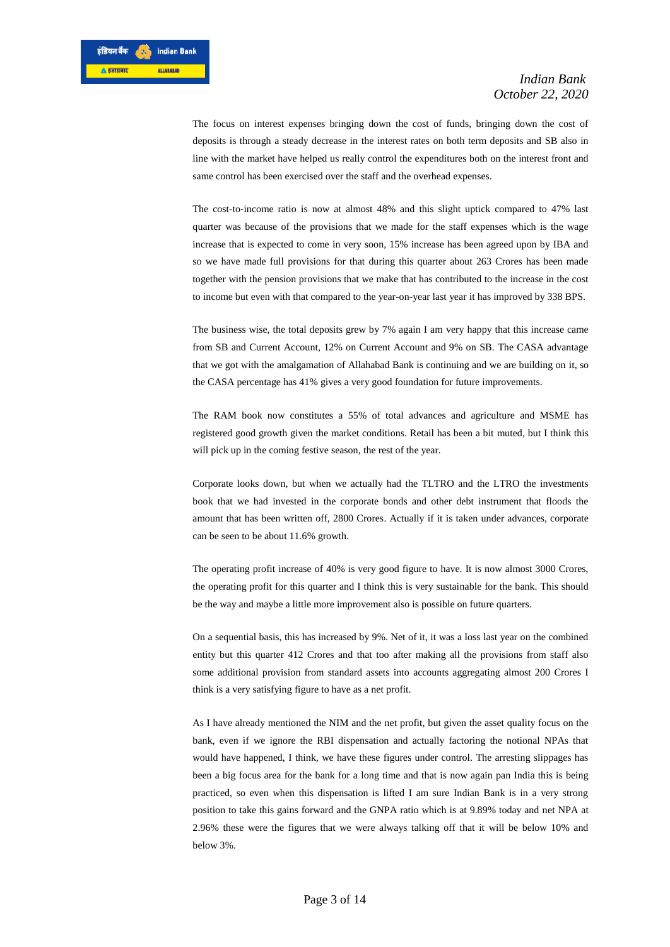The focus on interest expenses bringing down the cost of funds, bringing down the cost of deposits is through a steady decrease in the interest rates on both term deposits and SB also in line with the market have helped us really control the expenditures both on the interest front and same control has been exercised over the staff and the overhead expenses.

The cost-to-income ratio is now at almost 48% and this slight uptick compared to 47% last quarter was because of the provisions that we made for the staff expenses which is the wage increase that is expected to come in very soon, 15% increase has been agreed upon by IBA and so we have made full provisions for that during this quarter about 263 Crores has been made together with the pension provisions that we make that has contributed to the increase in the cost to income but even with that compared to the year-on-year last year it has improved by 338 BPS.

The business wise, the total deposits grew by 7% again I am very happy that this increase came from SB and Current Account, 12% on Current Account and 9% on SB. The CASA advantage that we got with the amalgamation of Allahabad Bank is continuing and we are building on it, so the CASA percentage has 41% gives a very good foundation for future improvements.

The RAM book now constitutes a 55% of total advances and agriculture and MSME has registered good growth given the market conditions. Retail has been a bit muted, but I think this will pick up in the coming festive season, the rest of the year.

Corporate looks down, but when we actually had the TLTRO and the LTRO the investments book that we had invested in the corporate bonds and other debt instrument that floods the amount that has been written off, 2800 Crores. Actually if it is taken under advances, corporate can be seen to be about 11.6% growth.

The operating profit increase of 40% is very good figure to have. It is now almost 3000 Crores, the operating profit for this quarter and I think this is very sustainable for the bank. This should be the way and maybe a little more improvement also is possible on future quarters.

On a sequential basis, this has increased by 9%. Net of it, it was a loss last year on the combined entity but this quarter 412 Crores and that too after making all the provisions from staff also some additional provision from standard assets into accounts aggregating almost 200 Crores I think is a very satisfying figure to have as a net profit.

As I have already mentioned the NIM and the net profit, but given the asset quality focus on the bank, even if we ignore the RBI dispensation and actually factoring the notional NPAs that would have happened, I think, we have these figures under control. The arresting slippages has been a big focus area for the bank for a long time and that is now again pan India this is being practiced, so even when this dispensation is lifted I am sure Indian Bank is in a very strong position to take this gains forward and the GNPA ratio which is at 9.89% today and net NPA at 2.96% these were the figures that we were always talking off that it will be below 10% and below 3%.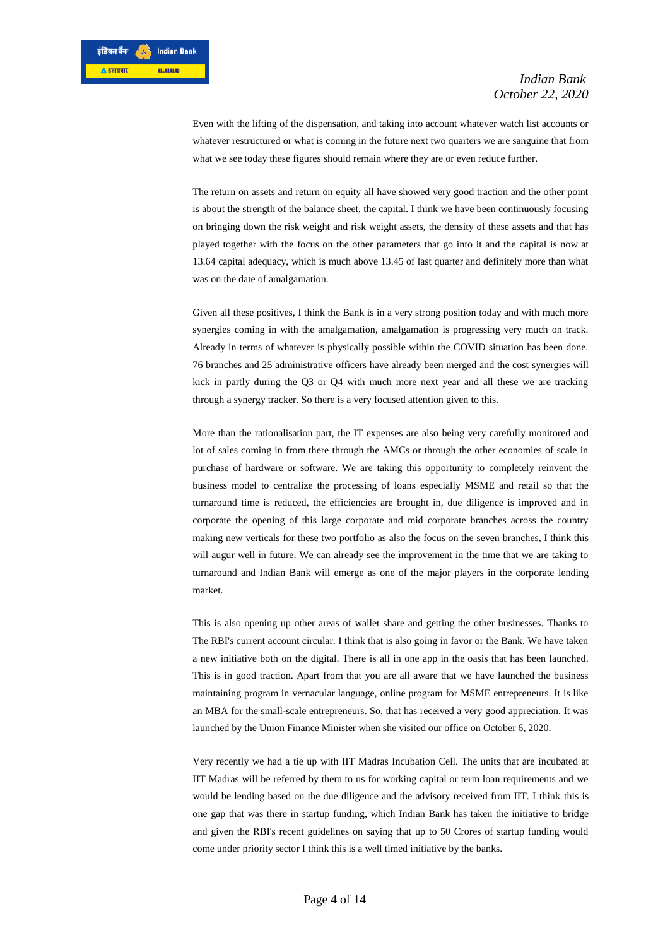Even with the lifting of the dispensation, and taking into account whatever watch list accounts or whatever restructured or what is coming in the future next two quarters we are sanguine that from what we see today these figures should remain where they are or even reduce further.

The return on assets and return on equity all have showed very good traction and the other point is about the strength of the balance sheet, the capital. I think we have been continuously focusing on bringing down the risk weight and risk weight assets, the density of these assets and that has played together with the focus on the other parameters that go into it and the capital is now at 13.64 capital adequacy, which is much above 13.45 of last quarter and definitely more than what was on the date of amalgamation.

Given all these positives, I think the Bank is in a very strong position today and with much more synergies coming in with the amalgamation, amalgamation is progressing very much on track. Already in terms of whatever is physically possible within the COVID situation has been done. 76 branches and 25 administrative officers have already been merged and the cost synergies will kick in partly during the Q3 or Q4 with much more next year and all these we are tracking through a synergy tracker. So there is a very focused attention given to this.

More than the rationalisation part, the IT expenses are also being very carefully monitored and lot of sales coming in from there through the AMCs or through the other economies of scale in purchase of hardware or software. We are taking this opportunity to completely reinvent the business model to centralize the processing of loans especially MSME and retail so that the turnaround time is reduced, the efficiencies are brought in, due diligence is improved and in corporate the opening of this large corporate and mid corporate branches across the country making new verticals for these two portfolio as also the focus on the seven branches, I think this will augur well in future. We can already see the improvement in the time that we are taking to turnaround and Indian Bank will emerge as one of the major players in the corporate lending market.

This is also opening up other areas of wallet share and getting the other businesses. Thanks to The RBI's current account circular. I think that is also going in favor or the Bank. We have taken a new initiative both on the digital. There is all in one app in the oasis that has been launched. This is in good traction. Apart from that you are all aware that we have launched the business maintaining program in vernacular language, online program for MSME entrepreneurs. It is like an MBA for the small-scale entrepreneurs. So, that has received a very good appreciation. It was launched by the Union Finance Minister when she visited our office on October 6, 2020.

Very recently we had a tie up with IIT Madras Incubation Cell. The units that are incubated at IIT Madras will be referred by them to us for working capital or term loan requirements and we would be lending based on the due diligence and the advisory received from IIT. I think this is one gap that was there in startup funding, which Indian Bank has taken the initiative to bridge and given the RBI's recent guidelines on saying that up to 50 Crores of startup funding would come under priority sector I think this is a well timed initiative by the banks.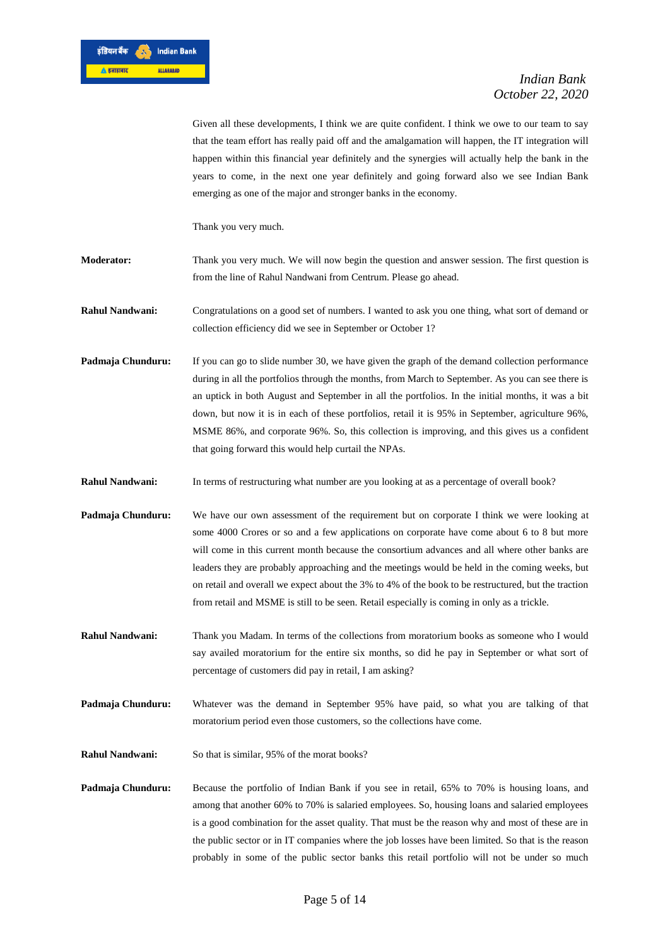

Given all these developments, I think we are quite confident. I think we owe to our team to say that the team effort has really paid off and the amalgamation will happen, the IT integration will happen within this financial year definitely and the synergies will actually help the bank in the years to come, in the next one year definitely and going forward also we see Indian Bank emerging as one of the major and stronger banks in the economy.

Thank you very much.

- **Moderator:** Thank you very much. We will now begin the question and answer session. The first question is from the line of Rahul Nandwani from Centrum. Please go ahead.
- **Rahul Nandwani:** Congratulations on a good set of numbers. I wanted to ask you one thing, what sort of demand or collection efficiency did we see in September or October 1?
- **Padmaja Chunduru:** If you can go to slide number 30, we have given the graph of the demand collection performance during in all the portfolios through the months, from March to September. As you can see there is an uptick in both August and September in all the portfolios. In the initial months, it was a bit down, but now it is in each of these portfolios, retail it is 95% in September, agriculture 96%, MSME 86%, and corporate 96%. So, this collection is improving, and this gives us a confident that going forward this would help curtail the NPAs.
- **Rahul Nandwani:** In terms of restructuring what number are you looking at as a percentage of overall book?
- **Padmaja Chunduru:** We have our own assessment of the requirement but on corporate I think we were looking at some 4000 Crores or so and a few applications on corporate have come about 6 to 8 but more will come in this current month because the consortium advances and all where other banks are leaders they are probably approaching and the meetings would be held in the coming weeks, but on retail and overall we expect about the 3% to 4% of the book to be restructured, but the traction from retail and MSME is still to be seen. Retail especially is coming in only as a trickle.
- **Rahul Nandwani:** Thank you Madam. In terms of the collections from moratorium books as someone who I would say availed moratorium for the entire six months, so did he pay in September or what sort of percentage of customers did pay in retail, I am asking?
- **Padmaja Chunduru:** Whatever was the demand in September 95% have paid, so what you are talking of that moratorium period even those customers, so the collections have come.
- **Rahul Nandwani:** So that is similar, 95% of the morat books?
- **Padmaja Chunduru:** Because the portfolio of Indian Bank if you see in retail, 65% to 70% is housing loans, and among that another 60% to 70% is salaried employees. So, housing loans and salaried employees is a good combination for the asset quality. That must be the reason why and most of these are in the public sector or in IT companies where the job losses have been limited. So that is the reason probably in some of the public sector banks this retail portfolio will not be under so much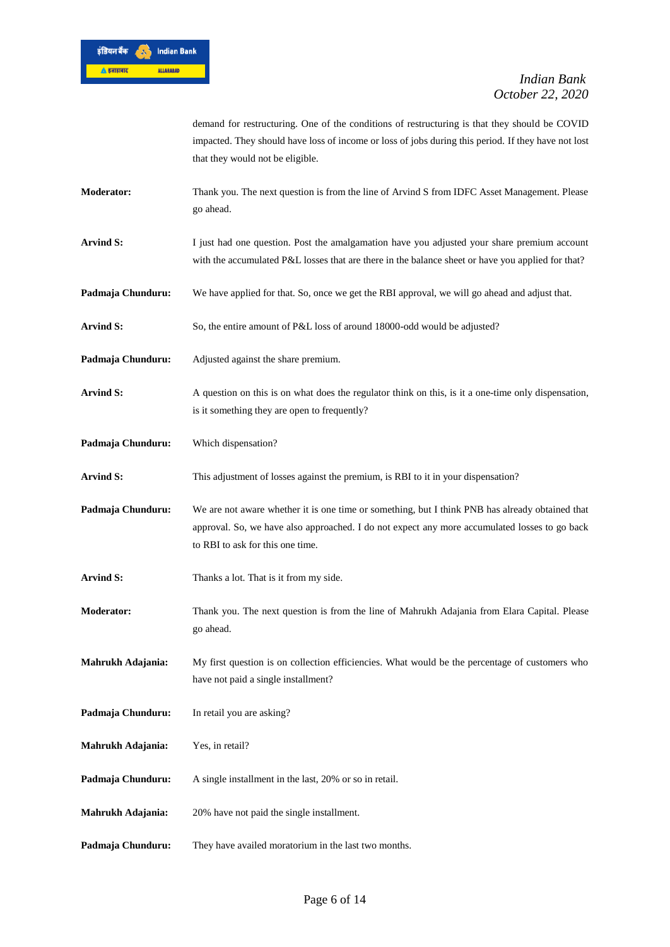

demand for restructuring. One of the conditions of restructuring is that they should be COVID impacted. They should have loss of income or loss of jobs during this period. If they have not lost that they would not be eligible.

- **Moderator:** Thank you. The next question is from the line of Arvind S from IDFC Asset Management. Please go ahead.
- **Arvind S:** I just had one question. Post the amalgamation have you adjusted your share premium account with the accumulated P&L losses that are there in the balance sheet or have you applied for that?
- **Padmaja Chunduru:** We have applied for that. So, once we get the RBI approval, we will go ahead and adjust that.
- Arvind S: So, the entire amount of P&L loss of around 18000-odd would be adjusted?
- **Padmaja Chunduru:** Adjusted against the share premium.
- **Arvind S:** A question on this is on what does the regulator think on this, is it a one-time only dispensation, is it something they are open to frequently?
- **Padmaja Chunduru:** Which dispensation?
- Arvind S: This adjustment of losses against the premium, is RBI to it in your dispensation?
- **Padmaja Chunduru:** We are not aware whether it is one time or something, but I think PNB has already obtained that approval. So, we have also approached. I do not expect any more accumulated losses to go back to RBI to ask for this one time.
- Arvind S: Thanks a lot. That is it from my side.
- **Moderator:** Thank you. The next question is from the line of Mahrukh Adajania from Elara Capital. Please go ahead.
- **Mahrukh Adajania:** My first question is on collection efficiencies. What would be the percentage of customers who have not paid a single installment?
- Padmaja Chunduru: In retail you are asking?
- **Mahrukh Adajania:** Yes, in retail?
- **Padmaja Chunduru:** A single installment in the last, 20% or so in retail.
- **Mahrukh Adajania:** 20% have not paid the single installment.
- **Padmaja Chunduru:** They have availed moratorium in the last two months.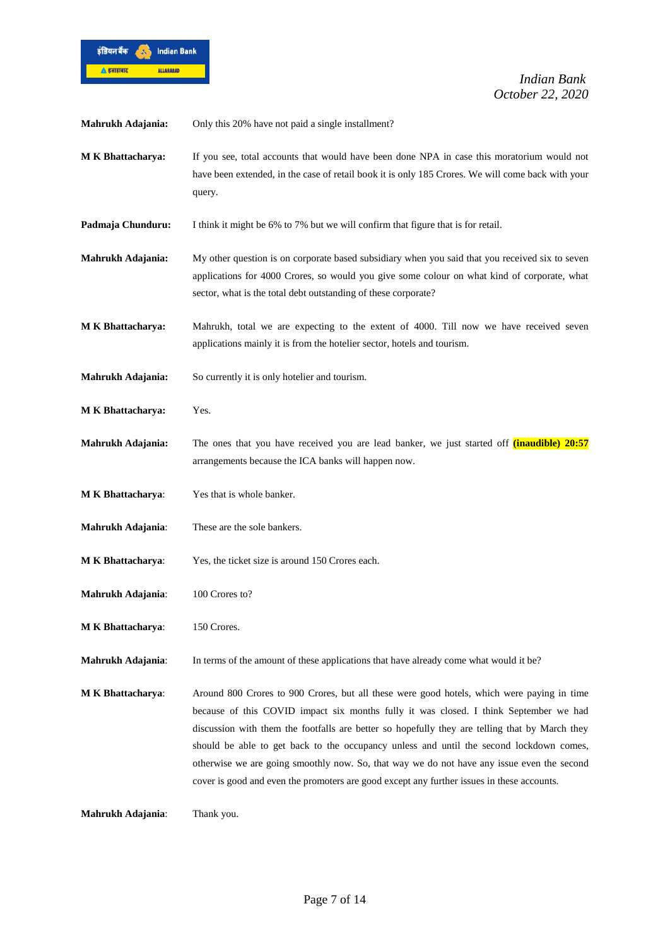

| Mahrukh Adajania:       | Only this 20% have not paid a single installment?                                                                                                                                                                                                                                                                                                                                                                                                                                                                                                                            |
|-------------------------|------------------------------------------------------------------------------------------------------------------------------------------------------------------------------------------------------------------------------------------------------------------------------------------------------------------------------------------------------------------------------------------------------------------------------------------------------------------------------------------------------------------------------------------------------------------------------|
| <b>MK</b> Bhattacharya: | If you see, total accounts that would have been done NPA in case this moratorium would not<br>have been extended, in the case of retail book it is only 185 Crores. We will come back with your<br>query.                                                                                                                                                                                                                                                                                                                                                                    |
| Padmaja Chunduru:       | I think it might be 6% to 7% but we will confirm that figure that is for retail.                                                                                                                                                                                                                                                                                                                                                                                                                                                                                             |
| Mahrukh Adajania:       | My other question is on corporate based subsidiary when you said that you received six to seven<br>applications for 4000 Crores, so would you give some colour on what kind of corporate, what<br>sector, what is the total debt outstanding of these corporate?                                                                                                                                                                                                                                                                                                             |
| <b>MK</b> Bhattacharya: | Mahrukh, total we are expecting to the extent of 4000. Till now we have received seven<br>applications mainly it is from the hotelier sector, hotels and tourism.                                                                                                                                                                                                                                                                                                                                                                                                            |
| Mahrukh Adajania:       | So currently it is only hotelier and tourism.                                                                                                                                                                                                                                                                                                                                                                                                                                                                                                                                |
| <b>MK</b> Bhattacharya: | Yes.                                                                                                                                                                                                                                                                                                                                                                                                                                                                                                                                                                         |
| Mahrukh Adajania:       | The ones that you have received you are lead banker, we just started off <i>(inaudible)</i> 20:57<br>arrangements because the ICA banks will happen now.                                                                                                                                                                                                                                                                                                                                                                                                                     |
| M K Bhattacharya:       | Yes that is whole banker.                                                                                                                                                                                                                                                                                                                                                                                                                                                                                                                                                    |
| Mahrukh Adajania:       | These are the sole bankers.                                                                                                                                                                                                                                                                                                                                                                                                                                                                                                                                                  |
| M K Bhattacharya:       | Yes, the ticket size is around 150 Crores each.                                                                                                                                                                                                                                                                                                                                                                                                                                                                                                                              |
| Mahrukh Adajania:       | 100 Crores to?                                                                                                                                                                                                                                                                                                                                                                                                                                                                                                                                                               |
| <b>MK</b> Bhattacharya: | 150 Crores.                                                                                                                                                                                                                                                                                                                                                                                                                                                                                                                                                                  |
| Mahrukh Adajania:       | In terms of the amount of these applications that have already come what would it be?                                                                                                                                                                                                                                                                                                                                                                                                                                                                                        |
| <b>MK</b> Bhattacharya: | Around 800 Crores to 900 Crores, but all these were good hotels, which were paying in time<br>because of this COVID impact six months fully it was closed. I think September we had<br>discussion with them the footfalls are better so hopefully they are telling that by March they<br>should be able to get back to the occupancy unless and until the second lockdown comes,<br>otherwise we are going smoothly now. So, that way we do not have any issue even the second<br>cover is good and even the promoters are good except any further issues in these accounts. |
| Mahrukh Adajania:       | Thank you.                                                                                                                                                                                                                                                                                                                                                                                                                                                                                                                                                                   |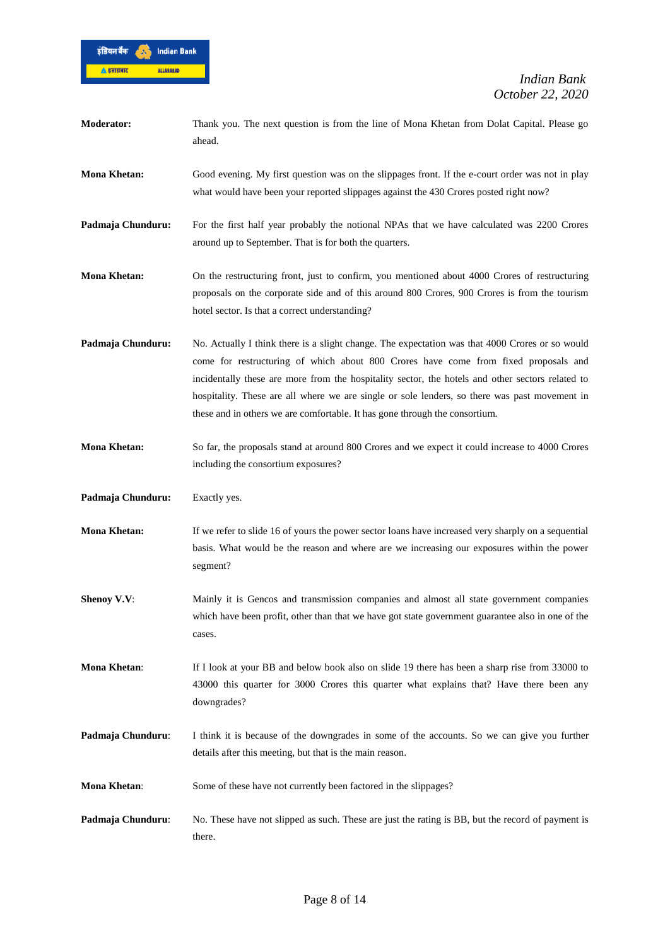

| <b>Moderator:</b>   | Thank you. The next question is from the line of Mona Khetan from Dolat Capital. Please go<br>ahead.                                                                                                                                                                                                                                                                                                                                                                       |
|---------------------|----------------------------------------------------------------------------------------------------------------------------------------------------------------------------------------------------------------------------------------------------------------------------------------------------------------------------------------------------------------------------------------------------------------------------------------------------------------------------|
| <b>Mona Khetan:</b> | Good evening. My first question was on the slippages front. If the e-court order was not in play<br>what would have been your reported slippages against the 430 Crores posted right now?                                                                                                                                                                                                                                                                                  |
| Padmaja Chunduru:   | For the first half year probably the notional NPAs that we have calculated was 2200 Crores<br>around up to September. That is for both the quarters.                                                                                                                                                                                                                                                                                                                       |
| <b>Mona Khetan:</b> | On the restructuring front, just to confirm, you mentioned about 4000 Crores of restructuring<br>proposals on the corporate side and of this around 800 Crores, 900 Crores is from the tourism<br>hotel sector. Is that a correct understanding?                                                                                                                                                                                                                           |
| Padmaja Chunduru:   | No. Actually I think there is a slight change. The expectation was that 4000 Crores or so would<br>come for restructuring of which about 800 Crores have come from fixed proposals and<br>incidentally these are more from the hospitality sector, the hotels and other sectors related to<br>hospitality. These are all where we are single or sole lenders, so there was past movement in<br>these and in others we are comfortable. It has gone through the consortium. |
| <b>Mona Khetan:</b> | So far, the proposals stand at around 800 Crores and we expect it could increase to 4000 Crores<br>including the consortium exposures?                                                                                                                                                                                                                                                                                                                                     |
| Padmaja Chunduru:   | Exactly yes.                                                                                                                                                                                                                                                                                                                                                                                                                                                               |
|                     |                                                                                                                                                                                                                                                                                                                                                                                                                                                                            |
| <b>Mona Khetan:</b> | If we refer to slide 16 of yours the power sector loans have increased very sharply on a sequential<br>basis. What would be the reason and where are we increasing our exposures within the power<br>segment?                                                                                                                                                                                                                                                              |
| <b>Shenoy V.V:</b>  | Mainly it is Gencos and transmission companies and almost all state government companies<br>which have been profit, other than that we have got state government guarantee also in one of the<br>cases.                                                                                                                                                                                                                                                                    |
| <b>Mona Khetan:</b> | If I look at your BB and below book also on slide 19 there has been a sharp rise from 33000 to<br>43000 this quarter for 3000 Crores this quarter what explains that? Have there been any<br>downgrades?                                                                                                                                                                                                                                                                   |
| Padmaja Chunduru:   | I think it is because of the downgrades in some of the accounts. So we can give you further<br>details after this meeting, but that is the main reason.                                                                                                                                                                                                                                                                                                                    |
| Mona Khetan:        | Some of these have not currently been factored in the slippages?                                                                                                                                                                                                                                                                                                                                                                                                           |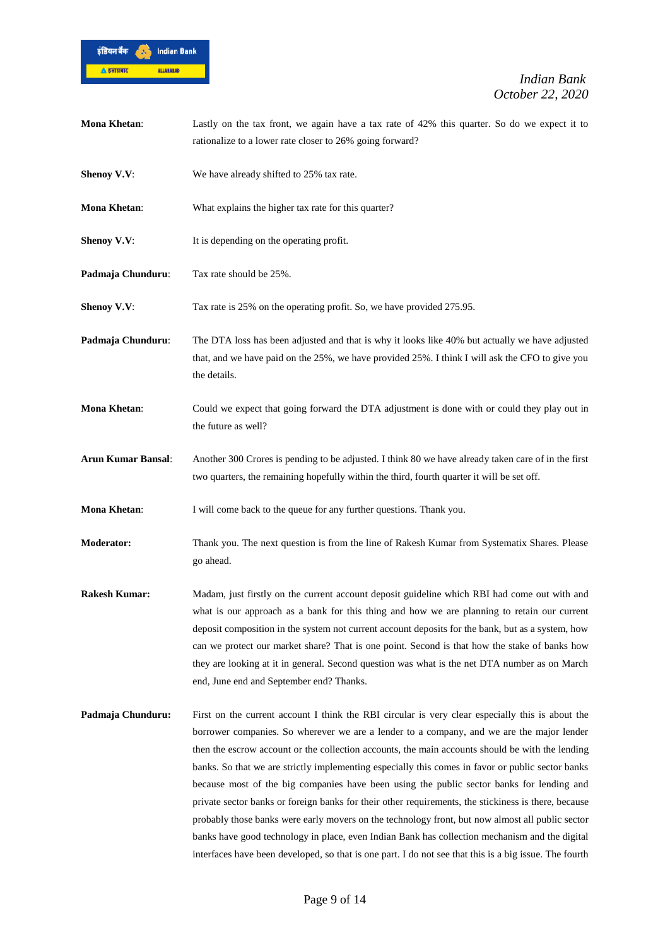

| <b>Mona Khetan:</b>       | Lastly on the tax front, we again have a tax rate of 42% this quarter. So do we expect it to<br>rationalize to a lower rate closer to 26% going forward?                                                                                                                                                                                                                                                                                                                                                                                                                                                                                                                                                                                                                                                          |
|---------------------------|-------------------------------------------------------------------------------------------------------------------------------------------------------------------------------------------------------------------------------------------------------------------------------------------------------------------------------------------------------------------------------------------------------------------------------------------------------------------------------------------------------------------------------------------------------------------------------------------------------------------------------------------------------------------------------------------------------------------------------------------------------------------------------------------------------------------|
|                           |                                                                                                                                                                                                                                                                                                                                                                                                                                                                                                                                                                                                                                                                                                                                                                                                                   |
| Shenoy V.V:               | We have already shifted to 25% tax rate.                                                                                                                                                                                                                                                                                                                                                                                                                                                                                                                                                                                                                                                                                                                                                                          |
| <b>Mona Khetan:</b>       | What explains the higher tax rate for this quarter?                                                                                                                                                                                                                                                                                                                                                                                                                                                                                                                                                                                                                                                                                                                                                               |
| <b>Shenoy V.V:</b>        | It is depending on the operating profit.                                                                                                                                                                                                                                                                                                                                                                                                                                                                                                                                                                                                                                                                                                                                                                          |
| Padmaja Chunduru:         | Tax rate should be 25%.                                                                                                                                                                                                                                                                                                                                                                                                                                                                                                                                                                                                                                                                                                                                                                                           |
| <b>Shenoy V.V:</b>        | Tax rate is 25% on the operating profit. So, we have provided 275.95.                                                                                                                                                                                                                                                                                                                                                                                                                                                                                                                                                                                                                                                                                                                                             |
| Padmaja Chunduru:         | The DTA loss has been adjusted and that is why it looks like 40% but actually we have adjusted<br>that, and we have paid on the 25%, we have provided 25%. I think I will ask the CFO to give you<br>the details.                                                                                                                                                                                                                                                                                                                                                                                                                                                                                                                                                                                                 |
| <b>Mona Khetan:</b>       | Could we expect that going forward the DTA adjustment is done with or could they play out in<br>the future as well?                                                                                                                                                                                                                                                                                                                                                                                                                                                                                                                                                                                                                                                                                               |
| <b>Arun Kumar Bansal:</b> | Another 300 Crores is pending to be adjusted. I think 80 we have already taken care of in the first<br>two quarters, the remaining hopefully within the third, fourth quarter it will be set off.                                                                                                                                                                                                                                                                                                                                                                                                                                                                                                                                                                                                                 |
| Mona Khetan:              | I will come back to the queue for any further questions. Thank you.                                                                                                                                                                                                                                                                                                                                                                                                                                                                                                                                                                                                                                                                                                                                               |
| <b>Moderator:</b>         | Thank you. The next question is from the line of Rakesh Kumar from Systematix Shares. Please<br>go ahead.                                                                                                                                                                                                                                                                                                                                                                                                                                                                                                                                                                                                                                                                                                         |
| <b>Rakesh Kumar:</b>      | Madam, just firstly on the current account deposit guideline which RBI had come out with and<br>what is our approach as a bank for this thing and how we are planning to retain our current<br>deposit composition in the system not current account deposits for the bank, but as a system, how<br>can we protect our market share? That is one point. Second is that how the stake of banks how<br>they are looking at it in general. Second question was what is the net DTA number as on March<br>end, June end and September end? Thanks.                                                                                                                                                                                                                                                                    |
| Padmaja Chunduru:         | First on the current account I think the RBI circular is very clear especially this is about the<br>borrower companies. So wherever we are a lender to a company, and we are the major lender<br>then the escrow account or the collection accounts, the main accounts should be with the lending<br>banks. So that we are strictly implementing especially this comes in favor or public sector banks<br>because most of the big companies have been using the public sector banks for lending and<br>private sector banks or foreign banks for their other requirements, the stickiness is there, because<br>probably those banks were early movers on the technology front, but now almost all public sector<br>banks have good technology in place, even Indian Bank has collection mechanism and the digital |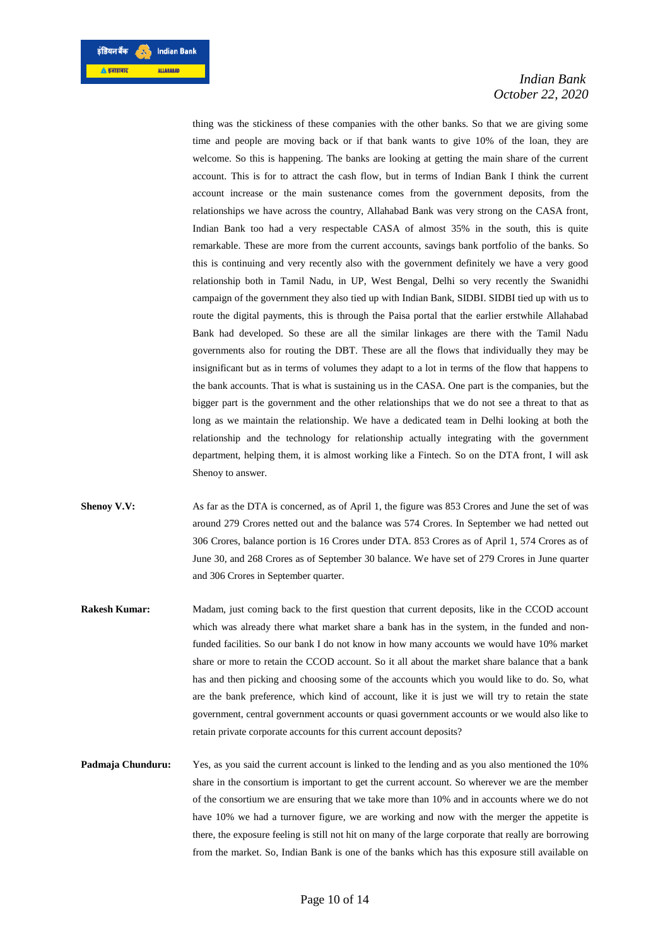

## *Indian Bank October 22, 2020*

thing was the stickiness of these companies with the other banks. So that we are giving some time and people are moving back or if that bank wants to give 10% of the loan, they are welcome. So this is happening. The banks are looking at getting the main share of the current account. This is for to attract the cash flow, but in terms of Indian Bank I think the current account increase or the main sustenance comes from the government deposits, from the relationships we have across the country, Allahabad Bank was very strong on the CASA front, Indian Bank too had a very respectable CASA of almost 35% in the south, this is quite remarkable. These are more from the current accounts, savings bank portfolio of the banks. So this is continuing and very recently also with the government definitely we have a very good relationship both in Tamil Nadu, in UP, West Bengal, Delhi so very recently the Swanidhi campaign of the government they also tied up with Indian Bank, SIDBI. SIDBI tied up with us to route the digital payments, this is through the Paisa portal that the earlier erstwhile Allahabad Bank had developed. So these are all the similar linkages are there with the Tamil Nadu governments also for routing the DBT. These are all the flows that individually they may be insignificant but as in terms of volumes they adapt to a lot in terms of the flow that happens to the bank accounts. That is what is sustaining us in the CASA. One part is the companies, but the bigger part is the government and the other relationships that we do not see a threat to that as long as we maintain the relationship. We have a dedicated team in Delhi looking at both the relationship and the technology for relationship actually integrating with the government department, helping them, it is almost working like a Fintech. So on the DTA front, I will ask Shenoy to answer.

- **Shenoy V.V:** As far as the DTA is concerned, as of April 1, the figure was 853 Crores and June the set of was around 279 Crores netted out and the balance was 574 Crores. In September we had netted out 306 Crores, balance portion is 16 Crores under DTA. 853 Crores as of April 1, 574 Crores as of June 30, and 268 Crores as of September 30 balance. We have set of 279 Crores in June quarter and 306 Crores in September quarter.
- **Rakesh Kumar:** Madam, just coming back to the first question that current deposits, like in the CCOD account which was already there what market share a bank has in the system, in the funded and nonfunded facilities. So our bank I do not know in how many accounts we would have 10% market share or more to retain the CCOD account. So it all about the market share balance that a bank has and then picking and choosing some of the accounts which you would like to do. So, what are the bank preference, which kind of account, like it is just we will try to retain the state government, central government accounts or quasi government accounts or we would also like to retain private corporate accounts for this current account deposits?
- **Padmaja Chunduru:** Yes, as you said the current account is linked to the lending and as you also mentioned the 10% share in the consortium is important to get the current account. So wherever we are the member of the consortium we are ensuring that we take more than 10% and in accounts where we do not have 10% we had a turnover figure, we are working and now with the merger the appetite is there, the exposure feeling is still not hit on many of the large corporate that really are borrowing from the market. So, Indian Bank is one of the banks which has this exposure still available on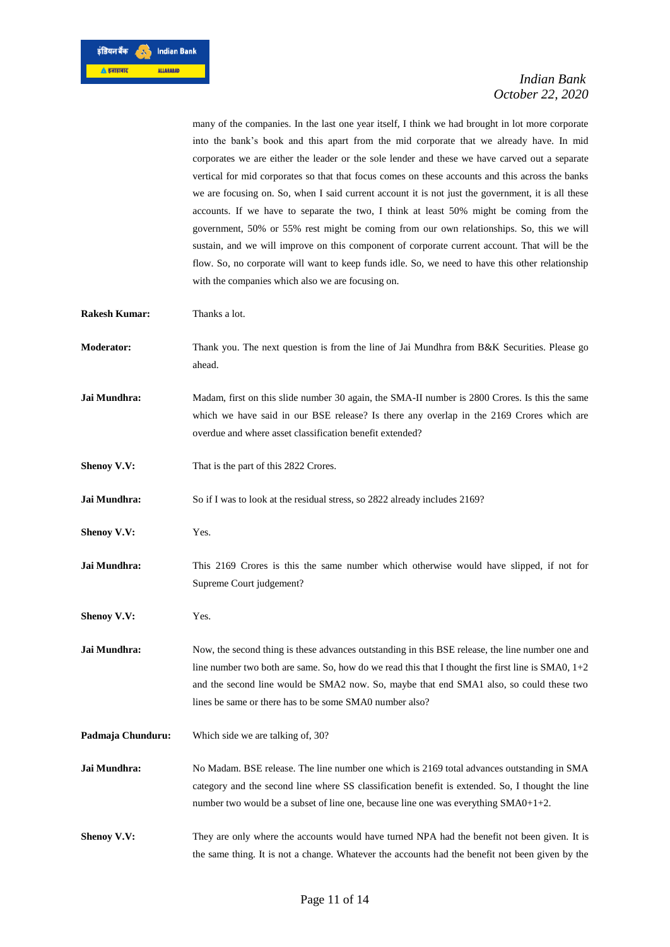

## *Indian Bank October 22, 2020*

many of the companies. In the last one year itself, I think we had brought in lot more corporate into the bank's book and this apart from the mid corporate that we already have. In mid corporates we are either the leader or the sole lender and these we have carved out a separate vertical for mid corporates so that that focus comes on these accounts and this across the banks we are focusing on. So, when I said current account it is not just the government, it is all these accounts. If we have to separate the two, I think at least 50% might be coming from the government, 50% or 55% rest might be coming from our own relationships. So, this we will sustain, and we will improve on this component of corporate current account. That will be the flow. So, no corporate will want to keep funds idle. So, we need to have this other relationship with the companies which also we are focusing on.

**Rakesh Kumar:** Thanks a lot.

- **Moderator:** Thank you. The next question is from the line of Jai Mundhra from B&K Securities. Please go ahead.
- **Jai Mundhra:** Madam, first on this slide number 30 again, the SMA-II number is 2800 Crores. Is this the same which we have said in our BSE release? Is there any overlap in the 2169 Crores which are overdue and where asset classification benefit extended?
- **Shenoy V.V:** That is the part of this 2822 Crores.

**Jai Mundhra:** So if I was to look at the residual stress, so 2822 already includes 2169?

- **Shenoy V.V:** Yes.
- **Jai Mundhra:** This 2169 Crores is this the same number which otherwise would have slipped, if not for Supreme Court judgement?

**Shenoy V.V:** Yes.

**Jai Mundhra:** Now, the second thing is these advances outstanding in this BSE release, the line number one and line number two both are same. So, how do we read this that I thought the first line is SMA0,  $1+2$ and the second line would be SMA2 now. So, maybe that end SMA1 also, so could these two lines be same or there has to be some SMA0 number also?

**Padmaja Chunduru:** Which side we are talking of, 30?

- **Jai Mundhra:** No Madam. BSE release. The line number one which is 2169 total advances outstanding in SMA category and the second line where SS classification benefit is extended. So, I thought the line number two would be a subset of line one, because line one was everything SMA0+1+2.
- **Shenoy V.V:** They are only where the accounts would have turned NPA had the benefit not been given. It is the same thing. It is not a change. Whatever the accounts had the benefit not been given by the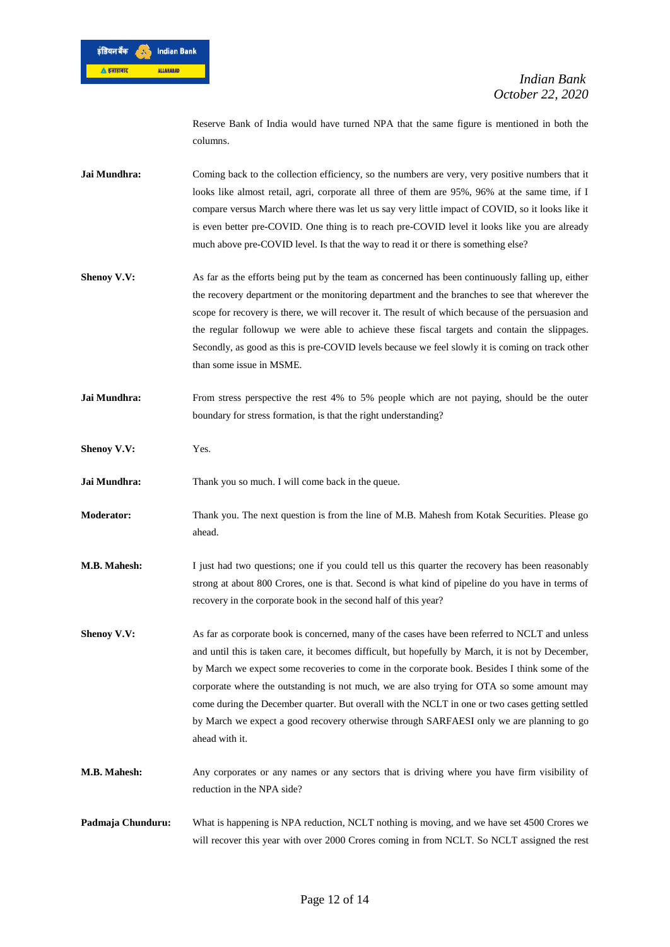

Reserve Bank of India would have turned NPA that the same figure is mentioned in both the columns.

- **Jai Mundhra:** Coming back to the collection efficiency, so the numbers are very, very positive numbers that it looks like almost retail, agri, corporate all three of them are 95%, 96% at the same time, if I compare versus March where there was let us say very little impact of COVID, so it looks like it is even better pre-COVID. One thing is to reach pre-COVID level it looks like you are already much above pre-COVID level. Is that the way to read it or there is something else?
- **Shenoy V.V:** As far as the efforts being put by the team as concerned has been continuously falling up, either the recovery department or the monitoring department and the branches to see that wherever the scope for recovery is there, we will recover it. The result of which because of the persuasion and the regular followup we were able to achieve these fiscal targets and contain the slippages. Secondly, as good as this is pre-COVID levels because we feel slowly it is coming on track other than some issue in MSME.
- **Jai Mundhra:** From stress perspective the rest 4% to 5% people which are not paying, should be the outer boundary for stress formation, is that the right understanding?
- Shenoy V.V: Yes.

**Jai Mundhra:** Thank you so much. I will come back in the queue.

- **Moderator:** Thank you. The next question is from the line of M.B. Mahesh from Kotak Securities. Please go ahead.
- **M.B. Mahesh:** I just had two questions; one if you could tell us this quarter the recovery has been reasonably strong at about 800 Crores, one is that. Second is what kind of pipeline do you have in terms of recovery in the corporate book in the second half of this year?
- **Shenoy V.V:** As far as corporate book is concerned, many of the cases have been referred to NCLT and unless and until this is taken care, it becomes difficult, but hopefully by March, it is not by December, by March we expect some recoveries to come in the corporate book. Besides I think some of the corporate where the outstanding is not much, we are also trying for OTA so some amount may come during the December quarter. But overall with the NCLT in one or two cases getting settled by March we expect a good recovery otherwise through SARFAESI only we are planning to go ahead with it.
- **M.B. Mahesh:** Any corporates or any names or any sectors that is driving where you have firm visibility of reduction in the NPA side?
- **Padmaja Chunduru:** What is happening is NPA reduction, NCLT nothing is moving, and we have set 4500 Crores we will recover this year with over 2000 Crores coming in from NCLT. So NCLT assigned the rest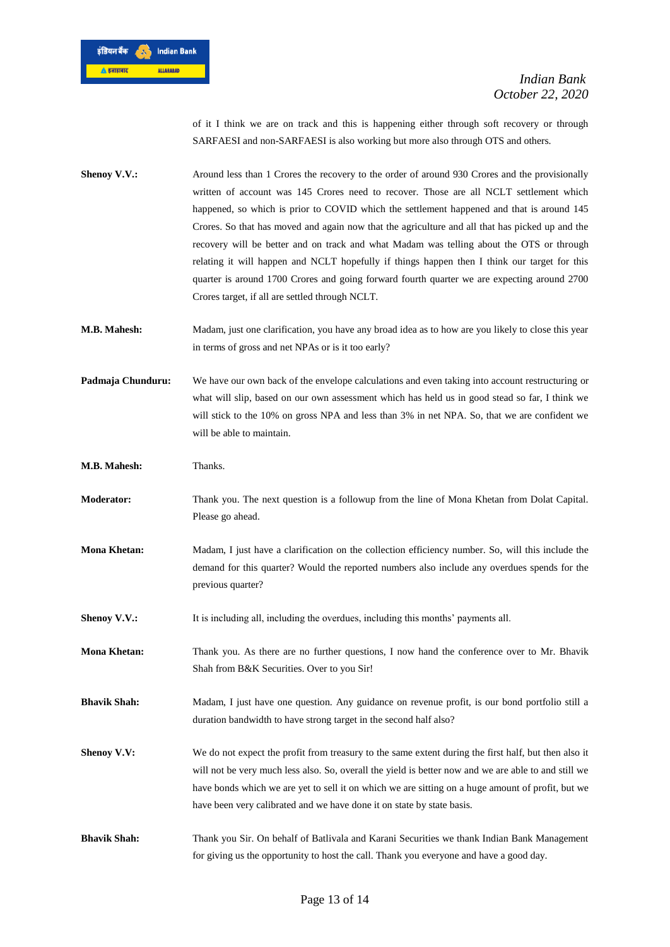

of it I think we are on track and this is happening either through soft recovery or through SARFAESI and non-SARFAESI is also working but more also through OTS and others.

- **Shenoy V.V.:** Around less than 1 Crores the recovery to the order of around 930 Crores and the provisionally written of account was 145 Crores need to recover. Those are all NCLT settlement which happened, so which is prior to COVID which the settlement happened and that is around 145 Crores. So that has moved and again now that the agriculture and all that has picked up and the recovery will be better and on track and what Madam was telling about the OTS or through relating it will happen and NCLT hopefully if things happen then I think our target for this quarter is around 1700 Crores and going forward fourth quarter we are expecting around 2700 Crores target, if all are settled through NCLT.
- **M.B. Mahesh:** Madam, just one clarification, you have any broad idea as to how are you likely to close this year in terms of gross and net NPAs or is it too early?
- **Padmaja Chunduru:** We have our own back of the envelope calculations and even taking into account restructuring or what will slip, based on our own assessment which has held us in good stead so far, I think we will stick to the 10% on gross NPA and less than 3% in net NPA. So, that we are confident we will be able to maintain.
- **M.B. Mahesh:** Thanks.
- **Moderator:** Thank you. The next question is a followup from the line of Mona Khetan from Dolat Capital. Please go ahead.
- **Mona Khetan:** Madam, I just have a clarification on the collection efficiency number. So, will this include the demand for this quarter? Would the reported numbers also include any overdues spends for the previous quarter?
- **Shenoy V.V.:** It is including all, including the overdues, including this months' payments all.
- **Mona Khetan:** Thank you. As there are no further questions, I now hand the conference over to Mr. Bhavik Shah from B&K Securities. Over to you Sir!
- **Bhavik Shah:** Madam, I just have one question. Any guidance on revenue profit, is our bond portfolio still a duration bandwidth to have strong target in the second half also?
- **Shenoy V.V:** We do not expect the profit from treasury to the same extent during the first half, but then also it will not be very much less also. So, overall the yield is better now and we are able to and still we have bonds which we are yet to sell it on which we are sitting on a huge amount of profit, but we have been very calibrated and we have done it on state by state basis.
- **Bhavik Shah:** Thank you Sir. On behalf of Batlivala and Karani Securities we thank Indian Bank Management for giving us the opportunity to host the call. Thank you everyone and have a good day.